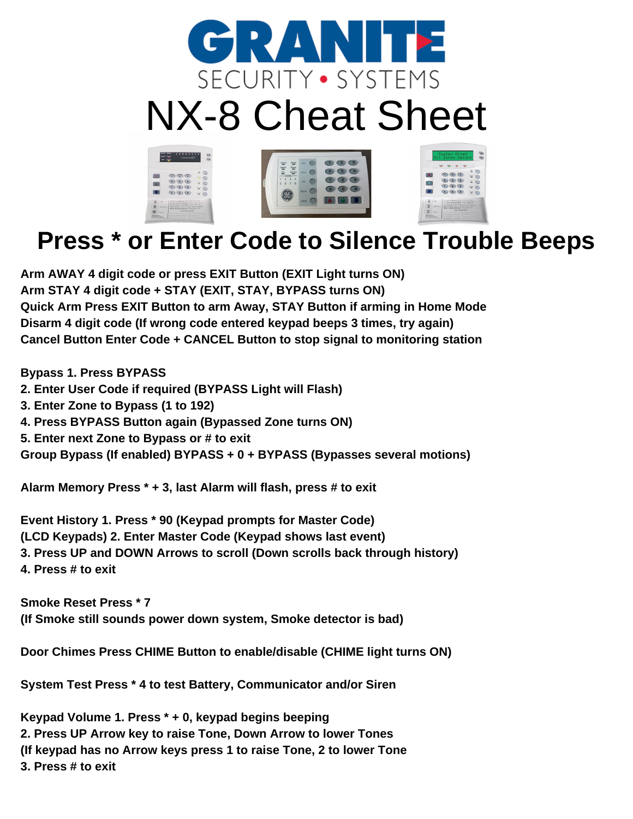

## NX-8 Cheat Sheet



## **Press \* or Enter Code to Silence Trouble Beeps**

**Arm AWAY 4 digit code or press EXIT Button (EXIT Light turns ON) Arm STAY 4 digit code + STAY (EXIT, STAY, BYPASS turns ON) Quick Arm Press EXIT Button to arm Away, STAY Button if arming in Home Mode Disarm 4 digit code (If wrong code entered keypad beeps 3 times, try again) Cancel Button Enter Code + CANCEL Button to stop signal to monitoring station**

**Bypass 1. Press BYPASS**

- **2. Enter User Code if required (BYPASS Light will Flash)**
- **3. Enter Zone to Bypass (1 to 192)**
- **4. Press BYPASS Button again (Bypassed Zone turns ON)**
- **5. Enter next Zone to Bypass or # to exit**

**Group Bypass (If enabled) BYPASS + 0 + BYPASS (Bypasses several motions)**

**Alarm Memory Press \* + 3, last Alarm will flash, press # to exit**

**Event History 1. Press \* 90 (Keypad prompts for Master Code) (LCD Keypads) 2. Enter Master Code (Keypad shows last event) 3. Press UP and DOWN Arrows to scroll (Down scrolls back through history) 4. Press # to exit**

**Smoke Reset Press \* 7 (If Smoke still sounds power down system, Smoke detector is bad)**

**Door Chimes Press CHIME Button to enable/disable (CHIME light turns ON)**

**System Test Press \* 4 to test Battery, Communicator and/or Siren**

**Keypad Volume 1. Press \* + 0, keypad begins beeping 2. Press UP Arrow key to raise Tone, Down Arrow to lower Tones (If keypad has no Arrow keys press 1 to raise Tone, 2 to lower Tone 3. Press # to exit**